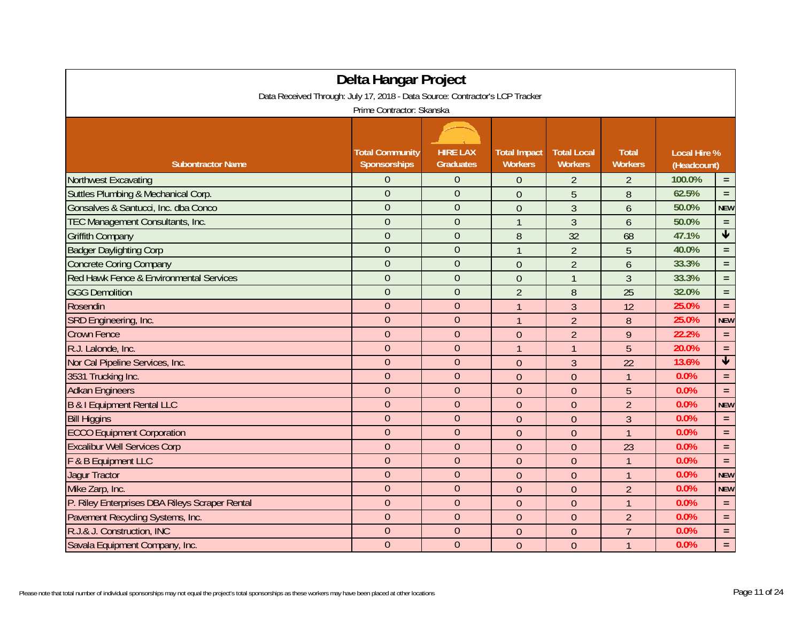| Delta Hangar Project                                                         |                        |                  |                     |                    |                |                     |                         |  |  |  |  |
|------------------------------------------------------------------------------|------------------------|------------------|---------------------|--------------------|----------------|---------------------|-------------------------|--|--|--|--|
| Data Received Through: July 17, 2018 - Data Source: Contractor's LCP Tracker |                        |                  |                     |                    |                |                     |                         |  |  |  |  |
| Prime Contractor: Skanska                                                    |                        |                  |                     |                    |                |                     |                         |  |  |  |  |
|                                                                              |                        |                  |                     |                    |                |                     |                         |  |  |  |  |
|                                                                              | <b>Total Community</b> | <b>HIRE LAX</b>  | <b>Total Impact</b> | <b>Total Local</b> | <b>Total</b>   | <b>Local Hire %</b> |                         |  |  |  |  |
| <b>Subontractor Name</b>                                                     | Sponsorships           | <b>Graduates</b> | <b>Workers</b>      | <b>Workers</b>     | <b>Workers</b> | (Headcount)         |                         |  |  |  |  |
| <b>Northwest Excavating</b>                                                  | 0                      | $\theta$         | $\theta$            | $\overline{2}$     | $\overline{2}$ | 100.0%              | $\equiv$                |  |  |  |  |
| Suttles Plumbing & Mechanical Corp.                                          | $\overline{0}$         | $\theta$         | $\theta$            | 5                  | 8              | 62.5%               | $\equiv$                |  |  |  |  |
| Gonsalves & Santucci, Inc. dba Conco                                         | $\overline{0}$         | $\overline{0}$   | $\overline{0}$      | $\overline{3}$     | 6              | 50.0%               | <b>NEW</b>              |  |  |  |  |
| TEC Management Consultants, Inc.                                             | $\overline{0}$         | $\overline{0}$   | $\overline{1}$      | $\mathfrak{Z}$     | 6              | 50.0%               | $\equiv$                |  |  |  |  |
| <b>Griffith Company</b>                                                      | $\overline{0}$         | $\overline{0}$   | 8                   | 32                 | 68             | 47.1%               | $\overline{\mathbf{V}}$ |  |  |  |  |
| <b>Badger Daylighting Corp</b>                                               | $\overline{0}$         | $\mathbf{0}$     | $\overline{1}$      | $\overline{2}$     | 5              | 40.0%               | $\equiv$                |  |  |  |  |
| <b>Concrete Coring Company</b>                                               | $\mathbf{0}$           | $\overline{0}$   | $\overline{0}$      | $\overline{2}$     | 6              | 33.3%               | $=$ $\,$                |  |  |  |  |
| Red Hawk Fence & Environmental Services                                      | $\overline{0}$         | $\overline{0}$   | $\overline{0}$      | $\overline{1}$     | $\mathfrak{Z}$ | 33.3%               | $=$ $\,$                |  |  |  |  |
| <b>GGG Demolition</b>                                                        | $\overline{0}$         | $\overline{0}$   | $\overline{2}$      | 8                  | 25             | 32.0%               | $=$ $\,$                |  |  |  |  |
| Rosendin                                                                     | $\mathbf{0}$           | $\overline{0}$   | $\mathbf{1}$        | $\overline{3}$     | 12             | 25.0%               | $\equiv$                |  |  |  |  |
| SRD Engineering, Inc.                                                        | $\mathbf{0}$           | $\overline{0}$   | $\mathbf{1}$        | $\overline{2}$     | 8              | 25.0%               | <b>NEW</b>              |  |  |  |  |
| <b>Crown Fence</b>                                                           | $\overline{0}$         | $\overline{0}$   | $\overline{0}$      | $\overline{2}$     | 9              | 22.2%               | $\equiv$                |  |  |  |  |
| R.J. Lalonde, Inc.                                                           | $\boldsymbol{0}$       | $\mathbf{0}$     | $\overline{1}$      | $\overline{1}$     | 5              | 20.0%               | $\equiv$                |  |  |  |  |
| Nor Cal Pipeline Services, Inc.                                              | $\overline{0}$         | $\overline{0}$   | $\theta$            | $\mathfrak{Z}$     | 22             | 13.6%               | $\overline{\textbf{v}}$ |  |  |  |  |
| 3531 Trucking Inc.                                                           | $\mathbf{0}$           | $\overline{0}$   | $\overline{0}$      | $\theta$           | $\overline{1}$ | 0.0%                | $\equiv$                |  |  |  |  |
| <b>Adkan Engineers</b>                                                       | $\overline{0}$         | $\overline{0}$   | $\overline{0}$      | $\overline{0}$     | 5              | 0.0%                | $=$ $\,$                |  |  |  |  |
| B & I Equipment Rental LLC                                                   | $\theta$               | $\Omega$         | $\mathbf{0}$        | $\mathbf{0}$       | $\overline{2}$ | 0.0%                | <b>NEW</b>              |  |  |  |  |
| <b>Bill Higgins</b>                                                          | $\mathbf 0$            | $\mathbf{0}$     | $\theta$            | $\theta$           | $\overline{3}$ | 0.0%                | $\equiv$                |  |  |  |  |
| <b>ECCO Equipment Corporation</b>                                            | $\mathbf{0}$           | $\overline{0}$   | $\overline{0}$      | $\mathbf{0}$       | $\mathbf{1}$   | 0.0%                | $\equiv$                |  |  |  |  |
| <b>Excalibur Well Services Corp</b>                                          | $\mathbf{0}$           | $\theta$         | $\mathbf{0}$        | $\mathbf{0}$       | 23             | 0.0%                | $\equiv$                |  |  |  |  |
| F & B Equipment LLC                                                          | $\overline{0}$         | $\overline{0}$   | $\mathbf{0}$        | $\mathbf{0}$       | $\overline{1}$ | 0.0%                | $\equiv$                |  |  |  |  |
| <b>Jagur Tractor</b>                                                         | $\overline{0}$         | $\overline{0}$   | $\mathbf{0}$        | $\mathbf{0}$       | $\overline{1}$ | 0.0%                | <b>NEW</b>              |  |  |  |  |
| Mike Zarp, Inc.                                                              | $\mathbf{0}$           | $\theta$         | $\overline{0}$      | $\mathbf{0}$       | $\overline{2}$ | 0.0%                | <b>NEW</b>              |  |  |  |  |
| P. Riley Enterprises DBA Rileys Scraper Rental                               | $\mathbf{0}$           | $\theta$         | $\theta$            | $\theta$           | $\mathbf{1}$   | 0.0%                | $\equiv$                |  |  |  |  |
| Pavement Recycling Systems, Inc.                                             | $\overline{0}$         | $\overline{0}$   | $\overline{0}$      | $\theta$           | $\overline{2}$ | 0.0%                | $\equiv$                |  |  |  |  |
| R.J.& J. Construction, INC                                                   | $\boldsymbol{0}$       | $\mathbf{0}$     | $\overline{0}$      | $\mathbf{0}$       | $\overline{7}$ | 0.0%                | $\equiv$                |  |  |  |  |
| Savala Equipment Company, Inc.                                               | $\overline{0}$         | $\mathbf{0}$     | $\overline{0}$      | $\theta$           | $\mathbf{1}$   | 0.0%                | $=$                     |  |  |  |  |